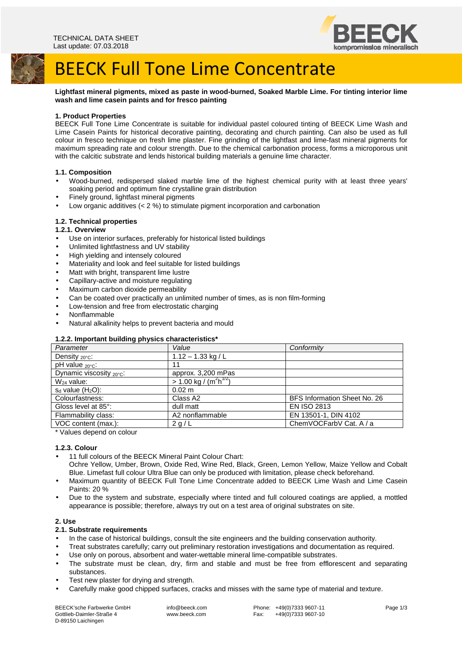

# BEECK Full Tone Lime Concentrate

**Lightfast mineral pigments, mixed as paste in wood-burned, Soaked Marble Lime. For tinting interior lime wash and lime casein paints and for fresco painting**

## **1. Product Properties**

BEECK Full Tone Lime Concentrate is suitable for individual pastel coloured tinting of BEECK Lime Wash and Lime Casein Paints for historical decorative painting, decorating and church painting. Can also be used as full colour in fresco technique on fresh lime plaster. Fine grinding of the lightfast and lime-fast mineral pigments for maximum spreading rate and colour strength. Due to the chemical carbonation process, forms a microporous unit with the calcitic substrate and lends historical building materials a genuine lime character.

#### **1.1. Composition**

- Wood-burned, redispersed slaked marble lime of the highest chemical purity with at least three years' soaking period and optimum fine crystalline grain distribution
- Finely ground, lightfast mineral pigments
- Low organic additives  $(< 2 %$ ) to stimulate pigment incorporation and carbonation

#### **1.2. Technical properties**

#### **1.2.1. Overview**

- Use on interior surfaces, preferably for historical listed buildings
- Unlimited lightfastness and UV stability
- High yielding and intensely coloured
- Materiality and look and feel suitable for listed buildings
- Matt with bright, transparent lime lustre
- Capillary-active and moisture regulating
- Maximum carbon dioxide permeability
- Can be coated over practically an unlimited number of times, as is non film-forming
- Low-tension and free from electrostatic charging
- Nonflammable
- Natural alkalinity helps to prevent bacteria and mould

#### **1.2.2. Important building physics characteristics\***

| Parameter                  | Value                                             | Conformity                   |
|----------------------------|---------------------------------------------------|------------------------------|
| Density $_{20^{\circ}C}$ : | $1.12 - 1.33$ kg / L                              |                              |
| $pH$ value $20^{\circ}$ c: | 11                                                |                              |
| Dynamic viscosity 20°C:    | approx. 3,200 mPas                                |                              |
| $W_{24}$ value:            | $> 1.00 \text{ kg} / (\text{m}^2 \text{h}^{1/2})$ |                              |
| $s_d$ value $(H_2O)$ :     | $0.02 \text{ m}$                                  |                              |
| Colourfastness:            | Class A2                                          | BFS Information Sheet No. 26 |
| Gloss level at 85°:        | dull matt                                         | <b>EN ISO 2813</b>           |
| Flammability class:        | A2 nonflammable                                   | EN 13501-1, DIN 4102         |
| VOC content (max.):        | 2 g/L                                             | ChemVOCFarbV Cat. A / a      |
|                            |                                                   |                              |

\* Values depend on colour

#### **1.2.3. Colour**

- 11 full colours of the BEECK Mineral Paint Colour Chart: Ochre Yellow, Umber, Brown, Oxide Red, Wine Red, Black, Green, Lemon Yellow, Maize Yellow and Cobalt
- Blue. Limefast full colour Ultra Blue can only be produced with limitation, please check beforehand. • Maximum quantity of BEECK Full Tone Lime Concentrate added to BEECK Lime Wash and Lime Casein
- Paints: 20 %
- Due to the system and substrate, especially where tinted and full coloured coatings are applied, a mottled appearance is possible; therefore, always try out on a test area of original substrates on site.

## **2. Use**

### **2.1. Substrate requirements**

- In the case of historical buildings, consult the site engineers and the building conservation authority.
- Treat substrates carefully; carry out preliminary restoration investigations and documentation as required.
- Use only on porous, absorbent and water-wettable mineral lime-compatible substrates.
- The substrate must be clean, dry, firm and stable and must be free from efflorescent and separating substances.
- Test new plaster for drying and strength.
- Carefully make good chipped surfaces, cracks and misses with the same type of material and texture.

BEECK'sche Farbwerke GmbH Gottlieb-Daimler-Straße 4 D-89150 Laichingen

 info@beeck.com www.beeck.com

Phone: +49(0)7333 9607-11<br>Fax: +49(0)7333 9607-10 +49(0)7333 9607-10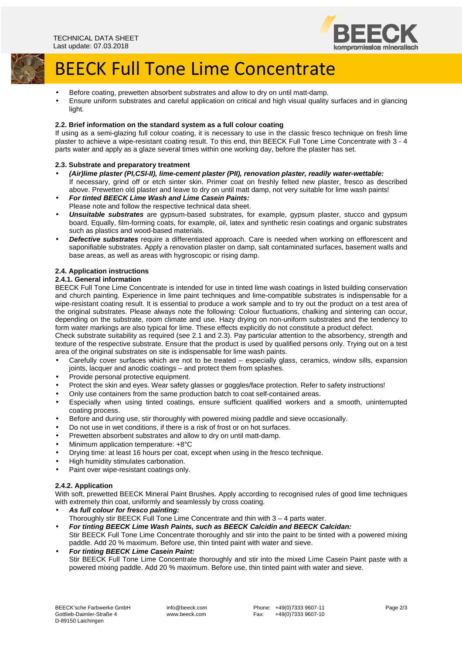

# BEECK Full Tone Lime Concentrate

- Before coating, prewetten absorbent substrates and allow to dry on until matt-damp.
- Ensure uniform substrates and careful application on critical and high visual quality surfaces and in glancing light.

## **2.2. Brief information on the standard system as a full colour coating**

If using as a semi-glazing full colour coating, it is necessary to use in the classic fresco technique on fresh lime plaster to achieve a wipe-resistant coating result. To this end, thin BEECK Full Tone Lime Concentrate with 3 - 4 parts water and apply as a glaze several times within one working day, before the plaster has set.

#### **2.3. Substrate and preparatory treatment**

- **(Air)lime plaster (PI,CSI-II), lime-cement plaster (PII), renovation plaster, readily water-wettable:**  If necessary, grind off or etch sinter skin. Primer coat on freshly felted new plaster, fresco as described above. Prewetten old plaster and leave to dry on until matt damp, not very suitable for lime wash paints!
- **For tinted BEECK Lime Wash and Lime Casein Paints:**  Please note and follow the respective technical data sheet.
- **Unsuitable substrates** are gypsum-based substrates, for example, gypsum plaster, stucco and gypsum board. Equally, film-forming coats, for example, oil, latex and synthetic resin coatings and organic substrates such as plastics and wood-based materials.
- **Defective substrates** require a differentiated approach. Care is needed when working on efflorescent and saponifiable substrates. Apply a renovation plaster on damp, salt contaminated surfaces, basement walls and base areas, as well as areas with hygroscopic or rising damp.

#### **2.4. Application instructions**

### **2.4.1. General information**

BEECK Full Tone Lime Concentrate is intended for use in tinted lime wash coatings in listed building conservation and church painting. Experience in lime paint techniques and lime-compatible substrates is indispensable for a wipe-resistant coating result. It is essential to produce a work sample and to try out the product on a test area of the original substrates. Please always note the following: Colour fluctuations, chalking and sintering can occur, depending on the substrate, room climate and use. Hazy drying on non-uniform substrates and the tendency to form water markings are also typical for lime. These effects explicitly do not constitute a product defect.

Check substrate suitability as required (see 2.1 and 2.3). Pay particular attention to the absorbency, strength and texture of the respective substrate. Ensure that the product is used by qualified persons only. Trying out on a test area of the original substrates on site is indispensable for lime wash paints.

- Carefully cover surfaces which are not to be treated especially glass, ceramics, window sills, expansion joints, lacquer and anodic coatings – and protect them from splashes.
- Provide personal protective equipment.
- Protect the skin and eyes. Wear safety glasses or goggles/face protection. Refer to safety instructions!
- Only use containers from the same production batch to coat self-contained areas.
- Especially when using tinted coatings, ensure sufficient qualified workers and a smooth, uninterrupted coating process.
- Before and during use, stir thoroughly with powered mixing paddle and sieve occasionally.
- Do not use in wet conditions, if there is a risk of frost or on hot surfaces.
- Prewetten absorbent substrates and allow to dry on until matt-damp.
- Minimum application temperature: +8°C
- Drying time: at least 16 hours per coat, except when using in the fresco technique.
- High humidity stimulates carbonation.
- Paint over wipe-resistant coatings only.

## **2.4.2. Application**

With soft, prewetted BEECK Mineral Paint Brushes. Apply according to recognised rules of good lime techniques with extremely thin coat, uniformly and seamlessly by cross coating.

- **As full colour for fresco painting:** 
	- Thoroughly stir BEECK Full Tone Lime Concentrate and thin with 3 4 parts water.
- **For tinting BEECK Lime Wash Paints, such as BEECK Calcidin and BEECK Calcidan:**  Stir BEECK Full Tone Lime Concentrate thoroughly and stir into the paint to be tinted with a powered mixing paddle. Add 20 % maximum. Before use, thin tinted paint with water and sieve.
- **For tinting BEECK Lime Casein Paint:**  Stir BEECK Full Tone Lime Concentrate thoroughly and stir into the mixed Lime Casein Paint paste with a powered mixing paddle. Add 20 % maximum. Before use, thin tinted paint with water and sieve.